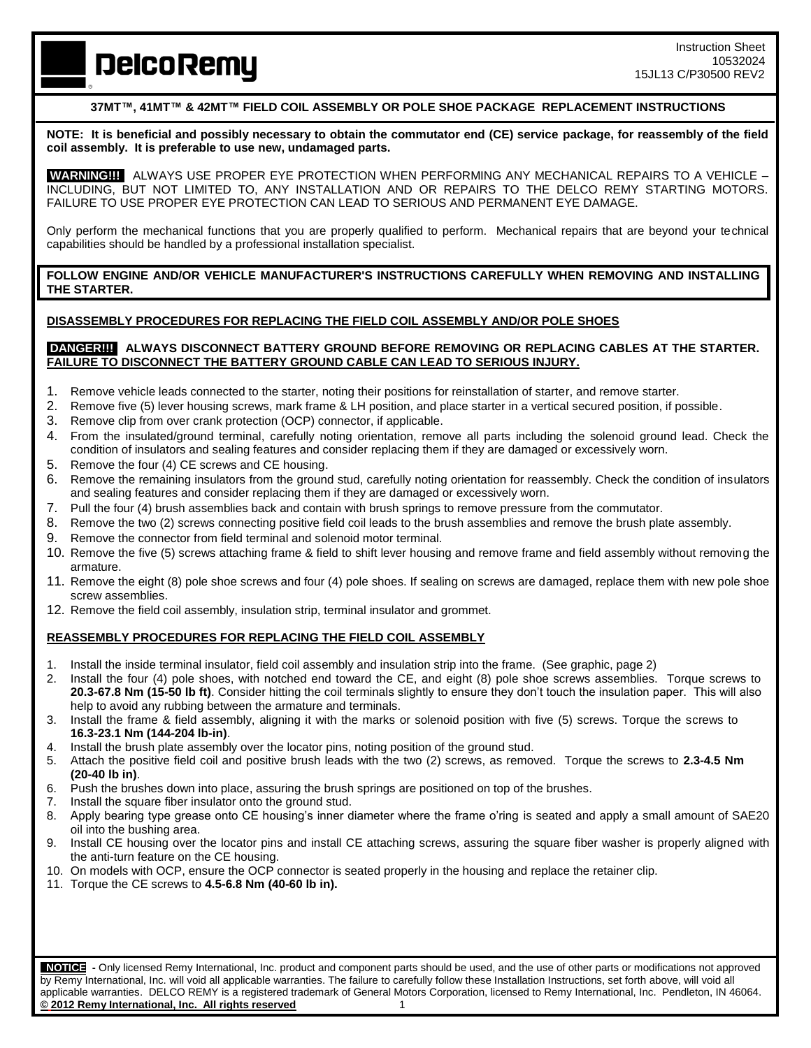# **DelcoRemy**

## **37MT™, 41MT™ & 42MT™ FIELD COIL ASSEMBLY OR POLE SHOE PACKAGE REPLACEMENT INSTRUCTIONS**

**NOTE: It is beneficial and possibly necessary to obtain the commutator end (CE) service package, for reassembly of the field coil assembly. It is preferable to use new, undamaged parts.**

**WARNING!!!** ALWAYS USE PROPER EYE PROTECTION WHEN PERFORMING ANY MECHANICAL REPAIRS TO A VEHICLE – INCLUDING, BUT NOT LIMITED TO, ANY INSTALLATION AND OR REPAIRS TO THE DELCO REMY STARTING MOTORS. FAILURE TO USE PROPER EYE PROTECTION CAN LEAD TO SERIOUS AND PERMANENT EYE DAMAGE.

Only perform the mechanical functions that you are properly qualified to perform. Mechanical repairs that are beyond your technical capabilities should be handled by a professional installation specialist.

**FOLLOW ENGINE AND/OR VEHICLE MANUFACTURER'S INSTRUCTIONS CAREFULLY WHEN REMOVING AND INSTALLING THE STARTER.**

### **DISASSEMBLY PROCEDURES FOR REPLACING THE FIELD COIL ASSEMBLY AND/OR POLE SHOES**

#### **DANGER!!! ALWAYS DISCONNECT BATTERY GROUND BEFORE REMOVING OR REPLACING CABLES AT THE STARTER. FAILURE TO DISCONNECT THE BATTERY GROUND CABLE CAN LEAD TO SERIOUS INJURY.**

- 1. Remove vehicle leads connected to the starter, noting their positions for reinstallation of starter, and remove starter.
- 2. Remove five (5) lever housing screws, mark frame & LH position, and place starter in a vertical secured position, if possible.
- 3. Remove clip from over crank protection (OCP) connector, if applicable.
- 4. From the insulated/ground terminal, carefully noting orientation, remove all parts including the solenoid ground lead. Check the condition of insulators and sealing features and consider replacing them if they are damaged or excessively worn.
- 5. Remove the four (4) CE screws and CE housing.
- 6. Remove the remaining insulators from the ground stud, carefully noting orientation for reassembly. Check the condition of insulators and sealing features and consider replacing them if they are damaged or excessively worn.
- 7. Pull the four (4) brush assemblies back and contain with brush springs to remove pressure from the commutator.
- 8. Remove the two (2) screws connecting positive field coil leads to the brush assemblies and remove the brush plate assembly.
- 9. Remove the connector from field terminal and solenoid motor terminal.
- 10. Remove the five (5) screws attaching frame & field to shift lever housing and remove frame and field assembly without removing the armature.
- 11. Remove the eight (8) pole shoe screws and four (4) pole shoes. If sealing on screws are damaged, replace them with new pole shoe screw assemblies.
- 12. Remove the field coil assembly, insulation strip, terminal insulator and grommet.

# **REASSEMBLY PROCEDURES FOR REPLACING THE FIELD COIL ASSEMBLY**

- 1. Install the inside terminal insulator, field coil assembly and insulation strip into the frame. (See graphic, page 2)
- 2. Install the four (4) pole shoes, with notched end toward the CE, and eight (8) pole shoe screws assemblies. Torque screws to **20.3-67.8 Nm (15-50 lb ft)**. Consider hitting the coil terminals slightly to ensure they don't touch the insulation paper. This will also help to avoid any rubbing between the armature and terminals.
- 3. Install the frame & field assembly, aligning it with the marks or solenoid position with five (5) screws. Torque the screws to **16.3-23.1 Nm (144-204 lb-in)**.
- 4. Install the brush plate assembly over the locator pins, noting position of the ground stud.
- 5. Attach the positive field coil and positive brush leads with the two (2) screws, as removed. Torque the screws to **2.3-4.5 Nm (20-40 lb in)**.
- 6. Push the brushes down into place, assuring the brush springs are positioned on top of the brushes.
- 7. Install the square fiber insulator onto the ground stud.
- 8. Apply bearing type grease onto CE housing's inner diameter where the frame o'ring is seated and apply a small amount of SAE20 oil into the bushing area.
- 9. Install CE housing over the locator pins and install CE attaching screws, assuring the square fiber washer is properly aligned with the anti-turn feature on the CE housing.
- 10. On models with OCP, ensure the OCP connector is seated properly in the housing and replace the retainer clip.
- 11. Torque the CE screws to **4.5-6.8 Nm (40-60 lb in).**

 **NOTICE -** Only licensed Remy International, Inc. product and component parts should be used, and the use of other parts or modifications not approved by Remy International, Inc. will void all applicable warranties. The failure to carefully follow these Installation Instructions, set forth above, will void all applicable warranties. DELCO REMY is a registered trademark of General Motors Corporation, licensed to Remy International, Inc. Pendleton, IN 46064. **© 2012 Remy International, Inc. All rights reserved** 1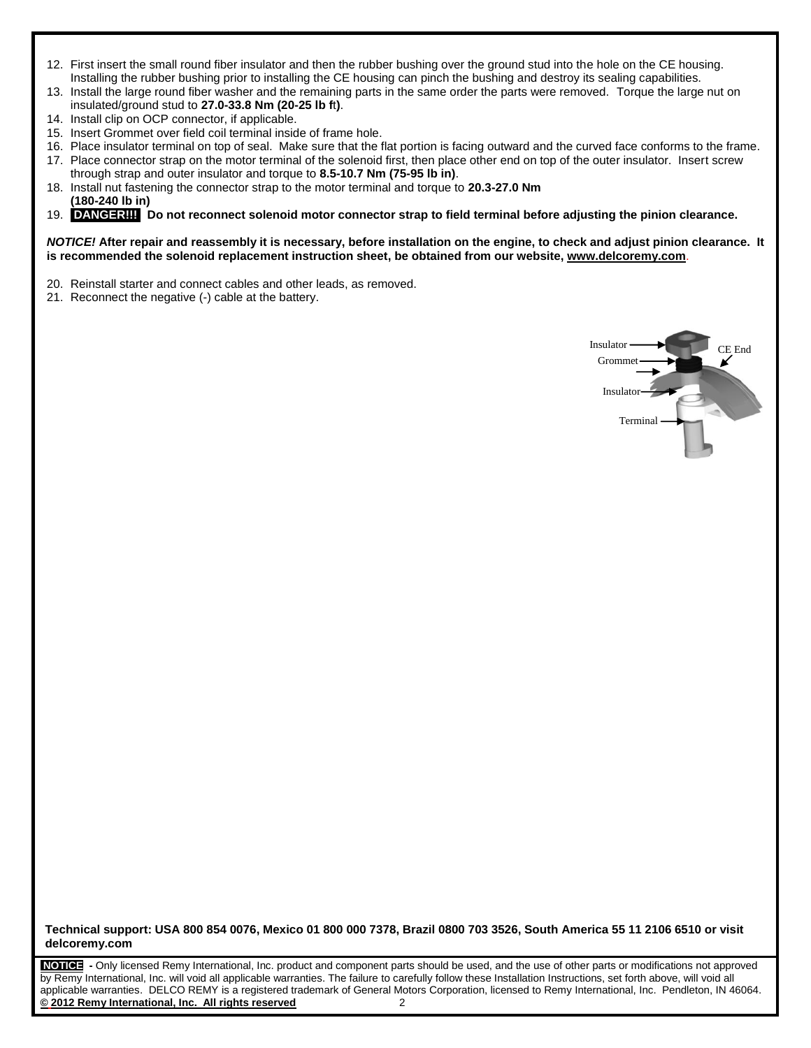- 12. First insert the small round fiber insulator and then the rubber bushing over the ground stud into the hole on the CE housing. Installing the rubber bushing prior to installing the CE housing can pinch the bushing and destroy its sealing capabilities.
- 13. Install the large round fiber washer and the remaining parts in the same order the parts were removed. Torque the large nut on insulated/ground stud to **27.0-33.8 Nm (20-25 lb f**t**)**.
- 14. Install clip on OCP connector, if applicable.
- 15. Insert Grommet over field coil terminal inside of frame hole.
- 16. Place insulator terminal on top of seal. Make sure that the flat portion is facing outward and the curved face conforms to the frame. 17. Place connector strap on the motor terminal of the solenoid first, then place other end on top of the outer insulator. Insert screw
- through strap and outer insulator and torque to **8.5-10.7 Nm (75-95 lb in)**.
- 18. Install nut fastening the connector strap to the motor terminal and torque to **20.3-27.0 Nm (180-240 lb in)**
- 19. **DANGER!!! Do not reconnect solenoid motor connector strap to field terminal before adjusting the pinion clearance.**

#### *NOTICE!* **After repair and reassembly it is necessary, before installation on the engine, to check and adjust pinion clearance. It is recommended the solenoid replacement instruction sheet, be obtained from our website, [www.delcoremy.com](http://www.delcoremy.com/)**.

- 20. Reinstall starter and connect cables and other leads, as removed.
- 21. Reconnect the negative (-) cable at the battery.



**Technical support: USA 800 854 0076, Mexico 01 800 000 7378, Brazil 0800 703 3526, South America 55 11 2106 6510 or visit delcoremy.com**

**NOTICE -** Only licensed Remy International, Inc. product and component parts should be used, and the use of other parts or modifications not approved by Remy International, Inc. will void all applicable warranties. The failure to carefully follow these Installation Instructions, set forth above, will void all applicable warranties. DELCO REMY is a registered trademark of General Motors Corporation, licensed to Remy International, Inc. Pendleton, IN 46064. **© 2012 Remy International, Inc. All rights reserved** 2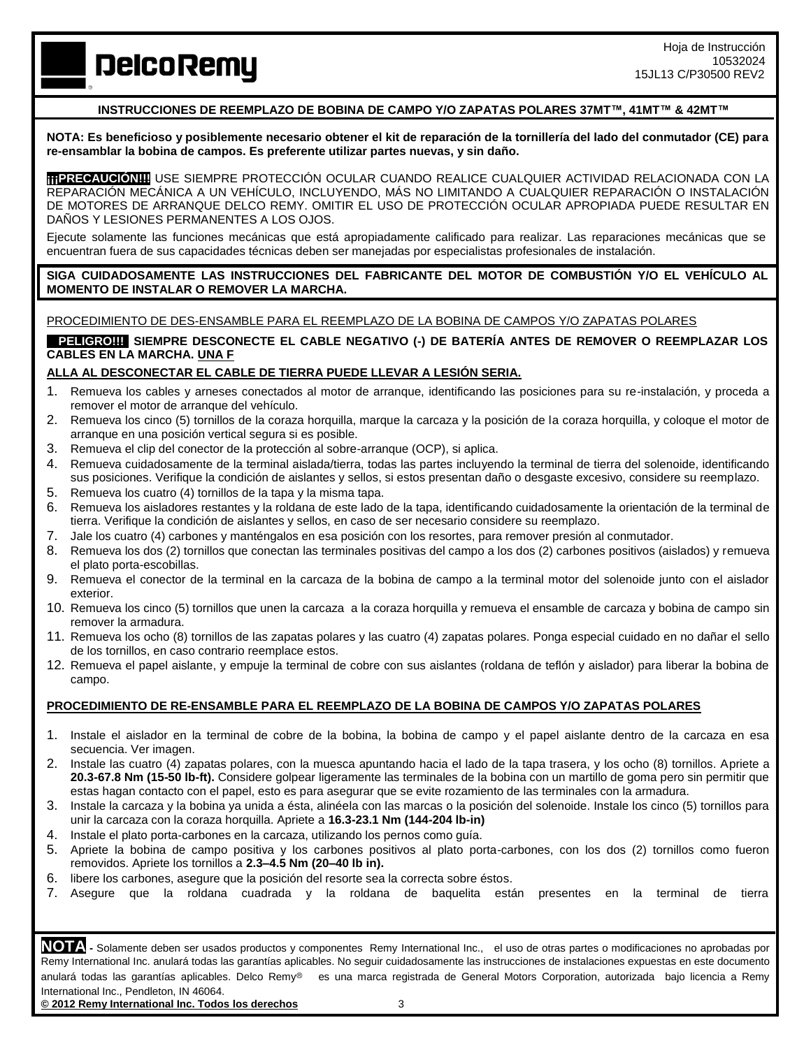Hoja de Instrucción 10532024 15JL13 C/P30500 REV2

**DelcoRemy** 

# **INSTRUCCIONES DE REEMPLAZO DE BOBINA DE CAMPO Y/O ZAPATAS POLARES 37MT™, 41MT™ & 42MT™**

**NOTA: Es beneficioso y posiblemente necesario obtener el kit de reparación de la tornillería del lado del conmutador (CE) para re-ensamblar la bobina de campos. Es preferente utilizar partes nuevas, y sin daño.**

**¡¡¡PRECAUCIÓN!!!** USE SIEMPRE PROTECCIÓN OCULAR CUANDO REALICE CUALQUIER ACTIVIDAD RELACIONADA CON LA REPARACIÓN MECÁNICA A UN VEHÍCULO, INCLUYENDO, MÁS NO LIMITANDO A CUALQUIER REPARACIÓN O INSTALACIÓN DE MOTORES DE ARRANQUE DELCO REMY. OMITIR EL USO DE PROTECCIÓN OCULAR APROPIADA PUEDE RESULTAR EN DAÑOS Y LESIONES PERMANENTES A LOS OJOS.

Ejecute solamente las funciones mecánicas que está apropiadamente calificado para realizar. Las reparaciones mecánicas que se encuentran fuera de sus capacidades técnicas deben ser manejadas por especialistas profesionales de instalación.

**SIGA CUIDADOSAMENTE LAS INSTRUCCIONES DEL FABRICANTE DEL MOTOR DE COMBUSTIÓN Y/O EL VEHÍCULO AL MOMENTO DE INSTALAR O REMOVER LA MARCHA.**

PROCEDIMIENTO DE DES-ENSAMBLE PARA EL REEMPLAZO DE LA BOBINA DE CAMPOS Y/O ZAPATAS POLARES

**PELIGRO!!!** SIEMPRE DESCONECTE EL CABLE NEGATIVO (-) DE BATERÍA ANTES DE REMOVER O REEMPLAZAR LOS **CABLES EN LA MARCHA. UNA F**

### **ALLA AL DESCONECTAR EL CABLE DE TIERRA PUEDE LLEVAR A LESIÓN SERIA.**

- 1. Remueva los cables y arneses conectados al motor de arranque, identificando las posiciones para su re-instalación, y proceda a remover el motor de arranque del vehículo.
- 2. Remueva los cinco (5) tornillos de la coraza horquilla, marque la carcaza y la posición de la coraza horquilla, y coloque el motor de arranque en una posición vertical segura si es posible.
- 3. Remueva el clip del conector de la protección al sobre-arranque (OCP), si aplica.
- 4. Remueva cuidadosamente de la terminal aislada/tierra, todas las partes incluyendo la terminal de tierra del solenoide, identificando sus posiciones. Verifique la condición de aislantes y sellos, si estos presentan daño o desgaste excesivo, considere su reemplazo.
- 5. Remueva los cuatro (4) tornillos de la tapa y la misma tapa.
- 6. Remueva los aisladores restantes y la roldana de este lado de la tapa, identificando cuidadosamente la orientación de la terminal de tierra. Verifique la condición de aislantes y sellos, en caso de ser necesario considere su reemplazo.
- 7. Jale los cuatro (4) carbones y manténgalos en esa posición con los resortes, para remover presión al conmutador.
- 8. Remueva los dos (2) tornillos que conectan las terminales positivas del campo a los dos (2) carbones positivos (aislados) y remueva el plato porta-escobillas.
- 9. Remueva el conector de la terminal en la carcaza de la bobina de campo a la terminal motor del solenoide junto con el aislador exterior.
- 10. Remueva los cinco (5) tornillos que unen la carcaza a la coraza horquilla y remueva el ensamble de carcaza y bobina de campo sin remover la armadura.
- 11. Remueva los ocho (8) tornillos de las zapatas polares y las cuatro (4) zapatas polares. Ponga especial cuidado en no dañar el sello de los tornillos, en caso contrario reemplace estos.
- 12. Remueva el papel aislante, y empuje la terminal de cobre con sus aislantes (roldana de teflón y aislador) para liberar la bobina de campo.

#### **PROCEDIMIENTO DE RE-ENSAMBLE PARA EL REEMPLAZO DE LA BOBINA DE CAMPOS Y/O ZAPATAS POLARES**

- 1. Instale el aislador en la terminal de cobre de la bobina, la bobina de campo y el papel aislante dentro de la carcaza en esa secuencia. Ver imagen.
- 2. Instale las cuatro (4) zapatas polares, con la muesca apuntando hacia el lado de la tapa trasera, y los ocho (8) tornillos. Apriete a **20.3-67.8 Nm (15-50 lb-ft).** Considere golpear ligeramente las terminales de la bobina con un martillo de goma pero sin permitir que estas hagan contacto con el papel, esto es para asegurar que se evite rozamiento de las terminales con la armadura.
- 3. Instale la carcaza y la bobina ya unida a ésta, alinéela con las marcas o la posición del solenoide. Instale los cinco (5) tornillos para unir la carcaza con la coraza horquilla. Apriete a **16.3-23.1 Nm (144-204 lb-in)**
- 4. Instale el plato porta-carbones en la carcaza, utilizando los pernos como guía.
- 5. Apriete la bobina de campo positiva y los carbones positivos al plato porta-carbones, con los dos (2) tornillos como fueron removidos. Apriete los tornillos a **2.3–4.5 Nm (20–40 lb in).**
- 6. libere los carbones, asegure que la posición del resorte sea la correcta sobre éstos.
- 7. Asegure que la roldana cuadrada y la roldana de baquelita están presentes en la terminal de tierra

**NOTA -** Solamente deben ser usados productos y componentes Remy International Inc., el uso de otras partes o modificaciones no aprobadas por Remy International Inc. anulará todas las garantías aplicables. No seguir cuidadosamente las instrucciones de instalaciones expuestas en este documento anulará todas las garantías aplicables. Delco Remy<sup>®</sup> es una marca registrada de General Motors Corporation, autorizada bajo licencia a Remy International Inc., Pendleton, IN 46064.

**© 2012 Remy International Inc. Todos los derechos** 3